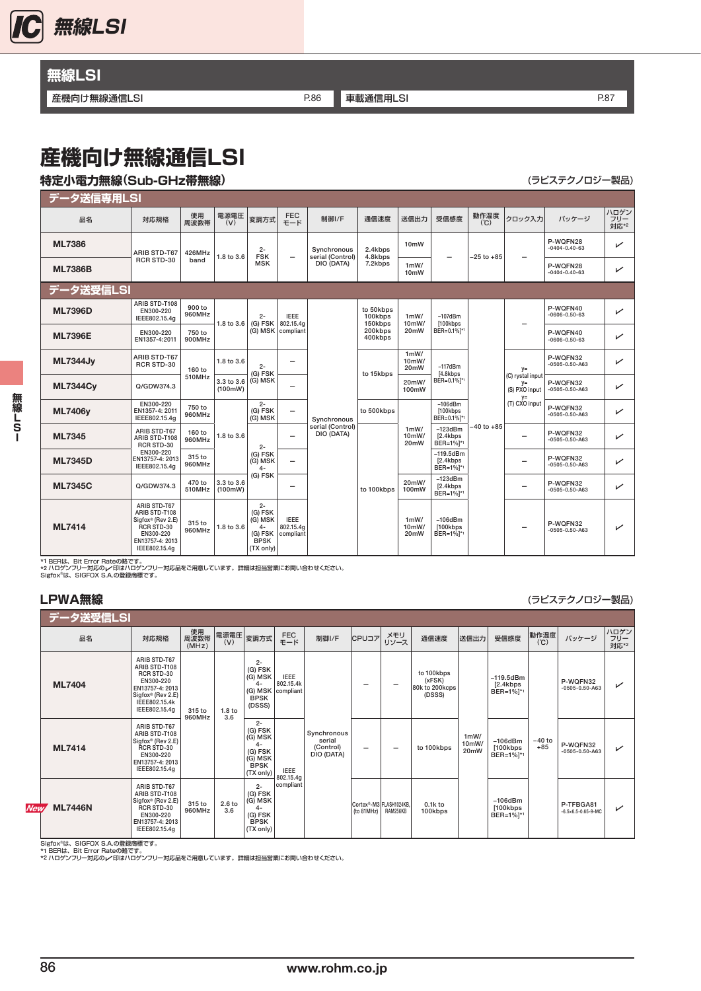

# **無線LSI**

### **産機向け無線通信LSI P.86 [車載通信用LSI](#page-1-0) P.86 車載通信用LSI P.87 P.87** P.87

# **産機向け無線通信LSI**

## **特定小電力無線(Sub-GHz帯無線)** (ラビステクノロジー製品)

| データ送信専用LSI      |                                                                                                                   |                  |                       |                                                                            |                                       |                                               |                                                       |                                    |                                                                                                          |                |                                                  |                                  |                     |
|-----------------|-------------------------------------------------------------------------------------------------------------------|------------------|-----------------------|----------------------------------------------------------------------------|---------------------------------------|-----------------------------------------------|-------------------------------------------------------|------------------------------------|----------------------------------------------------------------------------------------------------------|----------------|--------------------------------------------------|----------------------------------|---------------------|
| 品名              | 対応規格                                                                                                              | 使用<br>周波数帯       | 電源電圧<br>(V)           | 変調方式                                                                       | <b>FEC</b><br>モード                     | 制御I/F                                         | 通信速度                                                  | 送信出力                               | 受信感度                                                                                                     | 動作温度<br>(C)    | クロック入力                                           | バッケージ                            | ハロゲン<br>フリー<br>対応*2 |
| <b>ML7386</b>   | ARIB STD-T67                                                                                                      | 426MHz<br>band   | 1.8 to 3.6            | $2 -$<br><b>FSK</b><br><b>MSK</b>                                          | $\overline{\phantom{0}}$              | Synchronous<br>serial (Control)<br>DIO (DATA) | 2.4kbps<br>4.8kbps<br>7.2kbps                         | 10 <sub>m</sub> W                  | $-25$ to $+85$                                                                                           |                | P-WOFN28<br>$-0404 - 0.40 - 63$                  | $\checkmark$                     |                     |
| <b>ML7386B</b>  | <b>RCR STD-30</b>                                                                                                 |                  |                       |                                                                            |                                       |                                               |                                                       | 1mW/<br>10 <sub>m</sub> W          |                                                                                                          |                |                                                  | P-WQFN28<br>$-0404 - 0.40 - 63$  | ↙                   |
| データ送受信LSI       |                                                                                                                   |                  |                       |                                                                            |                                       |                                               |                                                       |                                    |                                                                                                          |                |                                                  |                                  |                     |
| <b>ML7396D</b>  | ARIB STD-T108<br>EN300-220<br>IEEE802.15.4g                                                                       | 900 to<br>960MHz | 1.8 to 3.6            | $2 -$<br>(G) FSK                                                           | <b>IEEE</b><br>802.15.4a              |                                               | to 50kbps<br>100kbps<br>150kbps<br>200kbps<br>400kbps | 1mW/<br>10mW/<br>20mW              | $-107$ d $Bm$<br>[100kbps<br>BER=0.1% <sup>1*1</sup>                                                     |                |                                                  | P-WQFN40<br>$-0606 - 0.50 - 63$  | ↙                   |
| <b>ML7396E</b>  | EN300-220<br>EN1357-4:2011                                                                                        | 750 to<br>900MHz |                       |                                                                            | (G) MSK compliant                     | Synchronous<br>serial (Control)<br>DIO (DATA) |                                                       |                                    |                                                                                                          |                |                                                  | P-WQFN40<br>$-0606 - 0.50 - 63$  | $\checkmark$        |
| <b>ML7344Jy</b> | ARIB STD-T67<br>RCR STD-30                                                                                        | 160 to           | 1.8 to 3.6            | $2 -$<br>(G) FSK<br>(G) MSK                                                | -                                     |                                               | to 15kbps                                             | 1mW/<br>10mW/<br>20mW              | $-117dBm$<br>[4.8kbps<br>BER=0.1% <sup>1*1</sup><br>$-106$ d $Bm$<br>[100kbps<br>BER=0.1% <sup>1*1</sup> |                | $V =$                                            | P-WQFN32<br>$-0505 - 0.50 - A63$ | ✓                   |
| <b>ML7344Cv</b> | Q/GDW374.3                                                                                                        | 510MHz           | 3.3 to 3.6<br>(100mW) |                                                                            | -                                     |                                               |                                                       | 20mW/<br>100mW                     |                                                                                                          |                | (C) rystal input<br>$V =$<br>(S) PXO input<br>y= | P-WQFN32<br>$-0505 - 0.50 - A63$ | $\checkmark$        |
| <b>ML7406v</b>  | EN300-220<br>EN1357-4: 2011<br>IEEE802.15.4a                                                                      | 750 to<br>960MHz |                       | $2 -$<br>(G) FSK<br>(G) MSK                                                | $\overline{\phantom{m}}$              |                                               | to 500kbps                                            |                                    |                                                                                                          | $-40$ to $+85$ | (T) CXO input                                    | P-WQFN32<br>$-0505 - 0.50 - A63$ | ✓                   |
| ML7345          | ARIB STD-T67<br>ARIB STD-T108<br>RCR STD-30                                                                       | 160 to<br>960MHz | 1.8 to 3.6            | $2 -$                                                                      | $\equiv$                              |                                               | to 100kbps                                            | 1mW/<br>10mW/<br>20mW              | $-123dBm$<br>[2.4kbps<br>BER=1% <sup>1*1</sup>                                                           |                | $\overline{\phantom{0}}$                         | P-WQFN32<br>$-0505 - 0.50 - A63$ | ✓                   |
| <b>ML7345D</b>  | EN300-220<br>EN13757-4: 2013<br>IEEE802.15.4a                                                                     | 315 to<br>960MHz |                       | (G) FSK<br>(G) MSK<br>$4-$                                                 | $\overline{\phantom{0}}$              |                                               |                                                       |                                    | $-119.5$ d $Bm$<br>[2.4kbps<br>BER=1% <sup>1</sup>                                                       |                | $\overline{\phantom{0}}$                         | P-WQFN32<br>$-0505 - 0.50 - A63$ | $\checkmark$        |
| <b>ML7345C</b>  | Q/GDW374.3                                                                                                        | 470 to<br>510MHz | 3.3 to 3.6<br>(100mW) | (G) FSK                                                                    | -                                     |                                               |                                                       | 20mW/<br>100mW                     | $-123$ d $Bm$<br>[2.4kbps]<br>BER=1% <sup>1*1</sup>                                                      |                | $\overline{\phantom{0}}$                         | P-WQFN32<br>$-0505 - 0.50 - A63$ | ✓                   |
| <b>ML7414</b>   | ARIB STD-T67<br>ARIB STD-T108<br>Sigfox® (Rev 2.E)<br>RCR STD-30<br>EN300-220<br>EN13757-4: 2013<br>IEEE802.15.4g | 315 to<br>960MHz | 1.8 to 3.6            | $2 -$<br>(G) FSK<br>(G) MSK<br>$4-$<br>(G) FSK<br><b>BPSK</b><br>(TX only) | <b>IEEE</b><br>802.15.4g<br>compliant |                                               |                                                       | 1mW/<br>10mW/<br>20 <sub>m</sub> W | $-106dBm$<br>[100kbps<br>BER=1% <sup>1*1</sup>                                                           |                |                                                  | P-WQFN32<br>$-0505 - 0.50 - A63$ | ✓                   |

\*1 BERは、Bit Error Rateの略です。<br>\*2 ハロゲンフリー対応の/印はハロゲンフリー対応品をご用意しています。詳細は担当営業にお問い合わせください。<br>Sigfox®は、SIGFOX S.A.の登録商標です。

無線LSI ールート<br>「<br>
「<br>
」<br>
」<br>
」

**LPWA無線** エヌティスト エヌティスト エヌティスト エヌティスティスト (ラピステクノロジー製品)

|            | データ送受信LSI      |                                                                                                                                    |                     |                          |                                                                                       |                                               |                                                  |                          |                         |                                                  |                                    |                                                     |                   |                                                |                     |
|------------|----------------|------------------------------------------------------------------------------------------------------------------------------------|---------------------|--------------------------|---------------------------------------------------------------------------------------|-----------------------------------------------|--------------------------------------------------|--------------------------|-------------------------|--------------------------------------------------|------------------------------------|-----------------------------------------------------|-------------------|------------------------------------------------|---------------------|
|            | 品名             | 対応規格                                                                                                                               | 使用<br>周波数帯<br>(MHz) | 電源電圧<br>(V)              | 変調方式                                                                                  | <b>FEC</b><br>モード                             | 制御I/F                                            | CPUコア                    | メモリ<br>リソース             | 通信速度                                             | 送信出力                               | 受信感度                                                | 動作温度<br>(C)       | バッケージ                                          | ハロゲン<br>フリー<br>対応*2 |
|            | <b>ML7404</b>  | ARIB STD-T67<br>ARIB STD-T108<br>RCR STD-30<br>EN300-220<br>EN13757-4: 2013<br>Sigfox® (Rev 2.E)<br>IEEE802.15.4k<br>IEEE802.15.4g | 315 to<br>960MHz    | 1.8 <sub>to</sub><br>3.6 | $2 -$<br>(G) FSK<br>(G) MSK<br>$4-$<br><b>BPSK</b><br>(DSSS)                          | <b>IEEE</b><br>802.15.4k<br>(G) MSK compliant | Synchronous<br>serial<br>(Control)<br>DIO (DATA) |                          | -                       | to 100kbps<br>(xFSK)<br>80k to 200kcps<br>(DSSS) | 1mW/<br>10mW/<br>20 <sub>m</sub> W | $-119.5$ d $Bm$<br>[2.4kbps]<br>BER=1% <sup>1</sup> | $-40$ to<br>$+85$ | P-WQFN32<br>$-0505 - 0.50 - A63$               | ✓                   |
|            | <b>ML7414</b>  | ARIB STD-T67<br>ARIB STD-T108<br>Sigfox® (Rev 2.E)<br>RCR STD-30<br>EN300-220<br>EN13757-4: 2013<br>IEEE802.15.4g                  |                     |                          | $2 -$<br>(G) FSK<br>(G) MSK<br>$4-$<br>(G) FSK<br>(G) MSK<br><b>BPSK</b><br>(TX only) | <b>IEEE</b>                                   |                                                  | $\overline{\phantom{0}}$ | -                       | to 100kbps                                       |                                    | $-106$ d $Bm$<br>[100kbps]<br>BER=1%]*1             |                   | P-WQFN32<br>$-0505 - 0.50 - A63$               | ✓                   |
| <b>New</b> | <b>ML7446N</b> | ARIB STD-T67<br>ARIB STD-T108<br>Sigfox® (Rev 2.E)<br>RCR STD-30<br>EN300-220<br>EN13757-4: 2013<br>IEEE802.15.4g                  | 315 to<br>960MHz    | 2.6 <sub>to</sub><br>3.6 | $2 -$<br>(G) FSK<br>(G) MSK<br>$4-$<br>(G) FSK<br><b>BPSK</b><br>(TX only)            | 802.15.4g<br>compliant                        |                                                  | (to 81MHz) RAM256KB      | Cortex®-M3 FLASH1024KB. | $0.1k$ to<br>100kbps                             |                                    | $-106$ d $Bm$<br>[100kbps]<br>BER=1% <sup>1</sup>   |                   | P-TFBGA81<br>$-6.5 \times 6.5 - 0.65 - 9 - MC$ | ✓                   |

Sigfox®は、SIGFOX S.A.の登録商標です。<br>\*1 BERは、Bit Error Rateの略です。<br>\*2 ハロゲンフリー対応の/F印はハロゲンフリー対応品をご用意しています。詳細は担当営業にお問い合わせください。